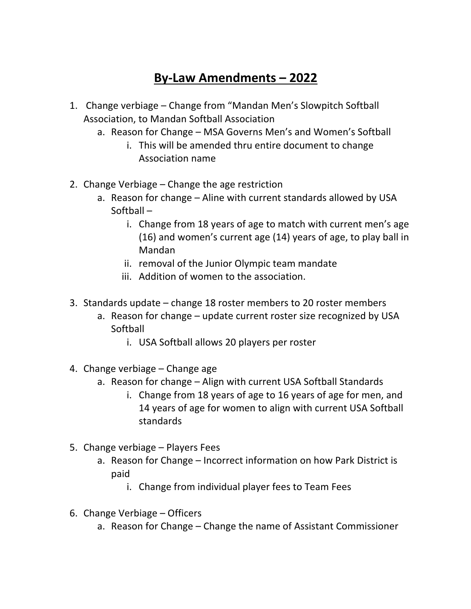# **By-Law Amendments – 2022**

- 1. Change verbiage Change from "Mandan Men's Slowpitch Softball Association, to Mandan Softball Association
	- a. Reason for Change MSA Governs Men's and Women's Softball
		- i. This will be amended thru entire document to change Association name
- 2. Change Verbiage Change the age restriction
	- a. Reason for change Aline with current standards allowed by USA Softball –
		- i. Change from 18 years of age to match with current men's age (16) and women's current age (14) years of age, to play ball in Mandan
		- ii. removal of the Junior Olympic team mandate
		- iii. Addition of women to the association.
- 3. Standards update change 18 roster members to 20 roster members
	- a. Reason for change update current roster size recognized by USA Softball
		- i. USA Softball allows 20 players per roster
- 4. Change verbiage Change age
	- a. Reason for change Align with current USA Softball Standards
		- i. Change from 18 years of age to 16 years of age for men, and 14 years of age for women to align with current USA Softball standards
- 5. Change verbiage Players Fees
	- a. Reason for Change Incorrect information on how Park District is paid
		- i. Change from individual player fees to Team Fees
- 6. Change Verbiage Officers
	- a. Reason for Change Change the name of Assistant Commissioner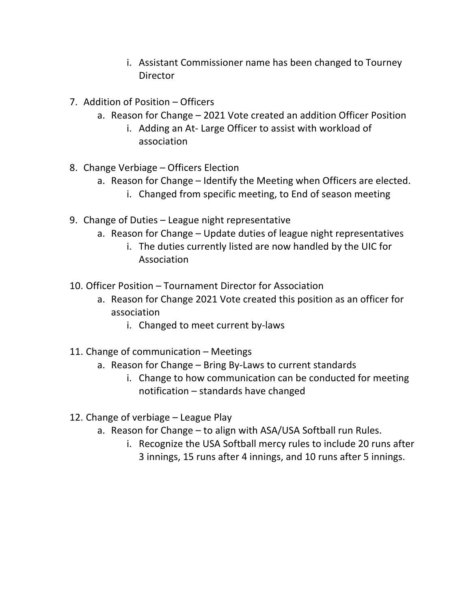- i. Assistant Commissioner name has been changed to Tourney Director
- 7. Addition of Position Officers
	- a. Reason for Change 2021 Vote created an addition Officer Position
		- i. Adding an At- Large Officer to assist with workload of association
- 8. Change Verbiage Officers Election
	- a. Reason for Change Identify the Meeting when Officers are elected.
		- i. Changed from specific meeting, to End of season meeting
- 9. Change of Duties League night representative
	- a. Reason for Change Update duties of league night representatives
		- i. The duties currently listed are now handled by the UIC for Association
- 10. Officer Position Tournament Director for Association
	- a. Reason for Change 2021 Vote created this position as an officer for association
		- i. Changed to meet current by-laws
- 11. Change of communication Meetings
	- a. Reason for Change Bring By-Laws to current standards
		- i. Change to how communication can be conducted for meeting notification – standards have changed
- 12. Change of verbiage League Play
	- a. Reason for Change to align with ASA/USA Softball run Rules.
		- i. Recognize the USA Softball mercy rules to include 20 runs after 3 innings, 15 runs after 4 innings, and 10 runs after 5 innings.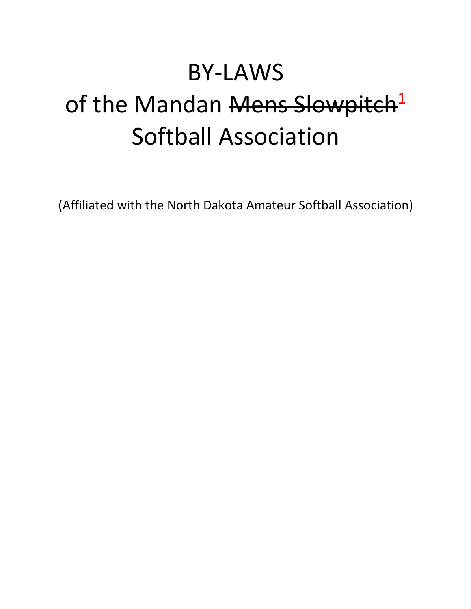# BY-LAWS

# of the Mandan Mens Slowpitch<sup>1</sup> Softball Association

(Affiliated with the North Dakota Amateur Softball Association)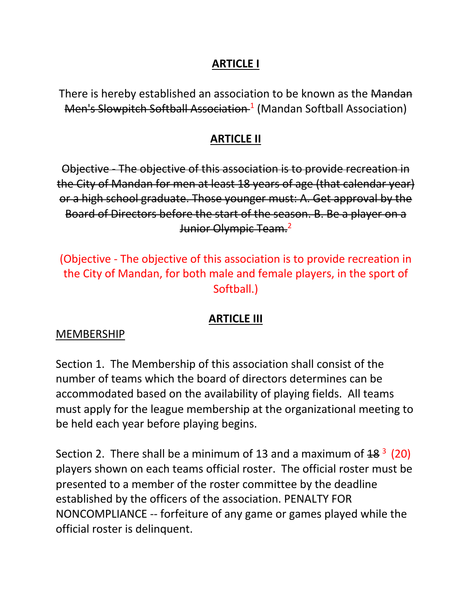#### **ARTICLE I**

There is hereby established an association to be known as the Mandan Men's Slowpitch Softball Association<sup>-1</sup> (Mandan Softball Association)

#### **ARTICLE II**

Objective - The objective of this association is to provide recreation in the City of Mandan for men at least 18 years of age (that calendar year) or a high school graduate. Those younger must: A. Get approval by the Board of Directors before the start of the season. B. Be a player on a Junior Olympic Team.<sup>2</sup>

(Objective - The objective of this association is to provide recreation in the City of Mandan, for both male and female players, in the sport of Softball.)

# **ARTICLE III**

#### MEMBERSHIP

Section 1. The Membership of this association shall consist of the number of teams which the board of directors determines can be accommodated based on the availability of playing fields. All teams must apply for the league membership at the organizational meeting to be held each year before playing begins.

Section 2. There shall be a minimum of 13 and a maximum of  $48<sup>3</sup>$  (20) players shown on each teams official roster. The official roster must be presented to a member of the roster committee by the deadline established by the officers of the association. PENALTY FOR NONCOMPLIANCE -- forfeiture of any game or games played while the official roster is delinquent.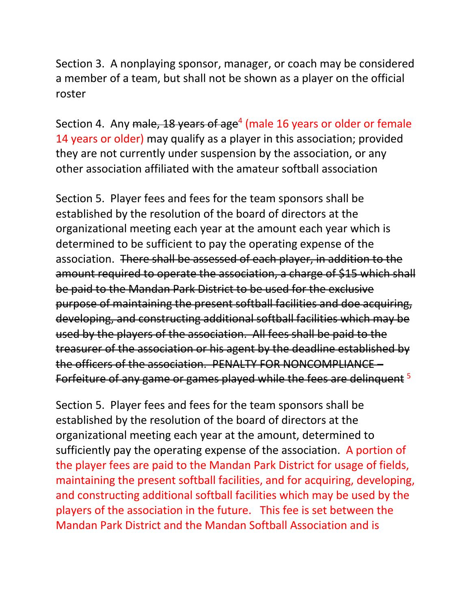Section 3. A nonplaying sponsor, manager, or coach may be considered a member of a team, but shall not be shown as a player on the official roster

Section 4. Any male, 18 years of age<sup>4</sup> (male 16 years or older or female 14 years or older) may qualify as a player in this association; provided they are not currently under suspension by the association, or any other association affiliated with the amateur softball association

Section 5. Player fees and fees for the team sponsors shall be established by the resolution of the board of directors at the organizational meeting each year at the amount each year which is determined to be sufficient to pay the operating expense of the association. There shall be assessed of each player, in addition to the amount required to operate the association, a charge of \$15 which shall be paid to the Mandan Park District to be used for the exclusive purpose of maintaining the present softball facilities and doe acquiring, developing, and constructing additional softball facilities which may be used by the players of the association. All fees shall be paid to the treasurer of the association or his agent by the deadline established by the officers of the association. PENALTY FOR NONCOMPLIANCE – Forfeiture of any game or games played while the fees are delinquent <sup>5</sup>

Section 5. Player fees and fees for the team sponsors shall be established by the resolution of the board of directors at the organizational meeting each year at the amount, determined to sufficiently pay the operating expense of the association. A portion of the player fees are paid to the Mandan Park District for usage of fields, maintaining the present softball facilities, and for acquiring, developing, and constructing additional softball facilities which may be used by the players of the association in the future. This fee is set between the Mandan Park District and the Mandan Softball Association and is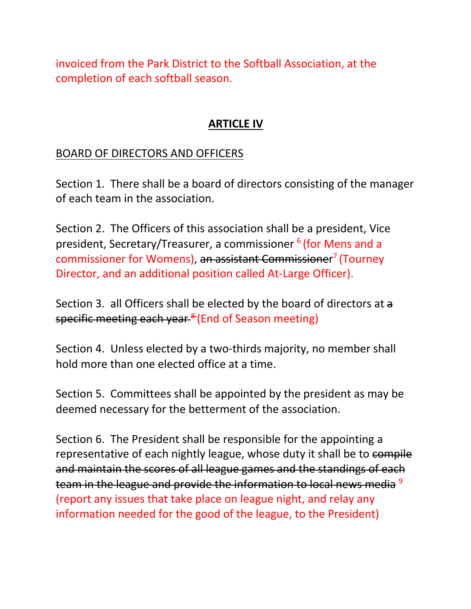invoiced from the Park District to the Softball Association, at the completion of each softball season.

#### **ARTICLE IV**

#### BOARD OF DIRECTORS AND OFFICERS

Section 1. There shall be a board of directors consisting of the manager of each team in the association.

Section 2. The Officers of this association shall be a president, Vice president, Secretary/Treasurer, a commissioner <sup>6</sup> (for Mens and a commissioner for Womens), an assistant Commissioner<sup>7</sup> (Tourney Director, and an additional position called At-Large Officer).

Section 3. all Officers shall be elected by the board of directors at a specific meeting each year<sup>8</sup> (End of Season meeting)

Section 4. Unless elected by a two-thirds majority, no member shall hold more than one elected office at a time.

Section 5. Committees shall be appointed by the president as may be deemed necessary for the betterment of the association.

Section 6. The President shall be responsible for the appointing a representative of each nightly league, whose duty it shall be to compile and maintain the scores of all league games and the standings of each team in the league and provide the information to local news media<sup>9</sup> (report any issues that take place on league night, and relay any information needed for the good of the league, to the President)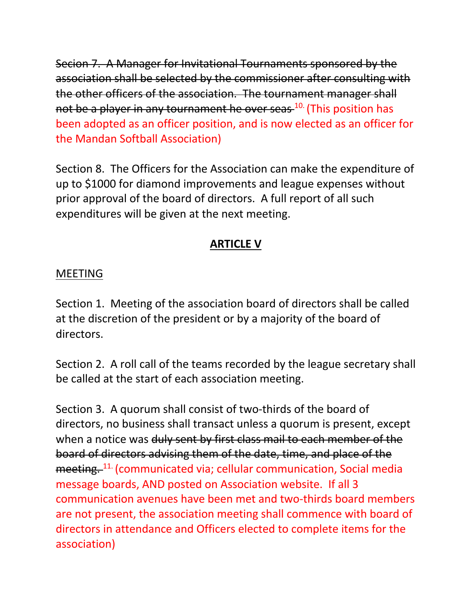Secion 7. A Manager for Invitational Tournaments sponsored by the association shall be selected by the commissioner after consulting with the other officers of the association. The tournament manager shall not be a player in any tournament he over seas <sup>10.</sup> (This position has been adopted as an officer position, and is now elected as an officer for the Mandan Softball Association)

Section 8. The Officers for the Association can make the expenditure of up to \$1000 for diamond improvements and league expenses without prior approval of the board of directors. A full report of all such expenditures will be given at the next meeting.

# **ARTICLE V**

#### MEETING

Section 1. Meeting of the association board of directors shall be called at the discretion of the president or by a majority of the board of directors.

Section 2. A roll call of the teams recorded by the league secretary shall be called at the start of each association meeting.

Section 3. A quorum shall consist of two-thirds of the board of directors, no business shall transact unless a quorum is present, except when a notice was duly sent by first class mail to each member of the board of directors advising them of the date, time, and place of the meeting. 11. (communicated via; cellular communication, Social media message boards, AND posted on Association website. If all 3 communication avenues have been met and two-thirds board members are not present, the association meeting shall commence with board of directors in attendance and Officers elected to complete items for the association)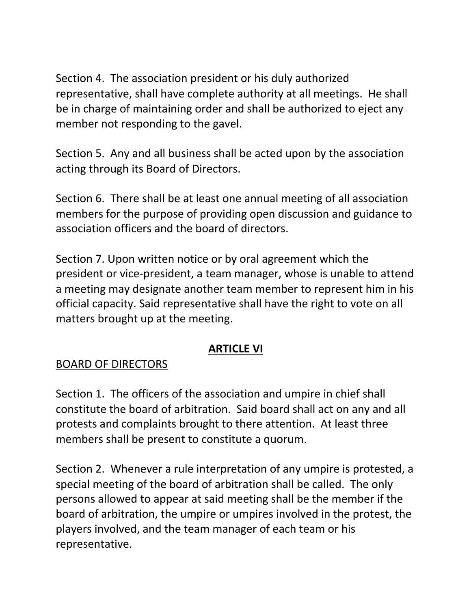Section 4. The association president or his duly authorized representative, shall have complete authority at all meetings. He shall be in charge of maintaining order and shall be authorized to eject any member not responding to the gavel.

Section 5. Any and all business shall be acted upon by the association acting through its Board of Directors.

Section 6. There shall be at least one annual meeting of all association members for the purpose of providing open discussion and guidance to association officers and the board of directors.

Section 7. Upon written notice or by oral agreement which the president or vice-president, a team manager, whose is unable to attend a meeting may designate another team member to represent him in his official capacity. Said representative shall have the right to vote on all matters brought up at the meeting.

# **ARTICLE VI**

# BOARD OF DIRECTORS

Section 1. The officers of the association and umpire in chief shall constitute the board of arbitration. Said board shall act on any and all protests and complaints brought to there attention. At least three members shall be present to constitute a quorum.

Section 2. Whenever a rule interpretation of any umpire is protested, a special meeting of the board of arbitration shall be called. The only persons allowed to appear at said meeting shall be the member if the board of arbitration, the umpire or umpires involved in the protest, the players involved, and the team manager of each team or his representative.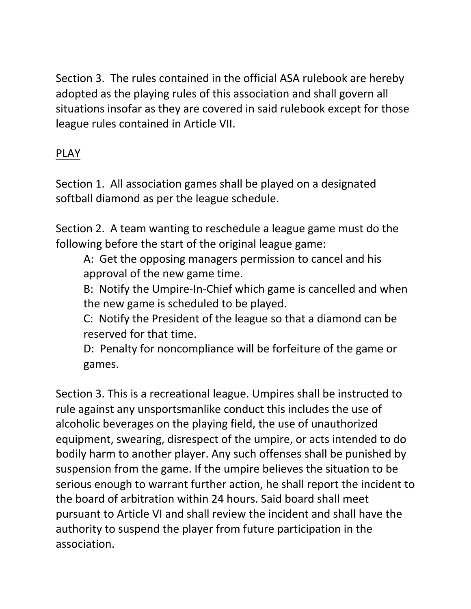Section 3. The rules contained in the official ASA rulebook are hereby adopted as the playing rules of this association and shall govern all situations insofar as they are covered in said rulebook except for those league rules contained in Article VII.

# PLAY

Section 1. All association games shall be played on a designated softball diamond as per the league schedule.

Section 2. A team wanting to reschedule a league game must do the following before the start of the original league game:

A: Get the opposing managers permission to cancel and his approval of the new game time.

B: Notify the Umpire-In-Chief which game is cancelled and when the new game is scheduled to be played.

C: Notify the President of the league so that a diamond can be reserved for that time.

D: Penalty for noncompliance will be forfeiture of the game or games.

Section 3. This is a recreational league. Umpires shall be instructed to rule against any unsportsmanlike conduct this includes the use of alcoholic beverages on the playing field, the use of unauthorized equipment, swearing, disrespect of the umpire, or acts intended to do bodily harm to another player. Any such offenses shall be punished by suspension from the game. If the umpire believes the situation to be serious enough to warrant further action, he shall report the incident to the board of arbitration within 24 hours. Said board shall meet pursuant to Article VI and shall review the incident and shall have the authority to suspend the player from future participation in the association.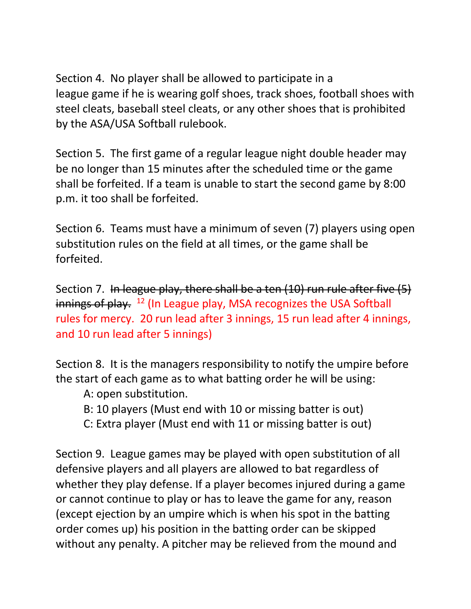Section 4. No player shall be allowed to participate in a league game if he is wearing golf shoes, track shoes, football shoes with steel cleats, baseball steel cleats, or any other shoes that is prohibited by the ASA/USA Softball rulebook.

Section 5. The first game of a regular league night double header may be no longer than 15 minutes after the scheduled time or the game shall be forfeited. If a team is unable to start the second game by 8:00 p.m. it too shall be forfeited.

Section 6. Teams must have a minimum of seven (7) players using open substitution rules on the field at all times, or the game shall be forfeited.

Section 7. In league play, there shall be a ten (10) run rule after five (5) innings of play.  $12$  (In League play, MSA recognizes the USA Softball rules for mercy. 20 run lead after 3 innings, 15 run lead after 4 innings, and 10 run lead after 5 innings)

Section 8. It is the managers responsibility to notify the umpire before the start of each game as to what batting order he will be using:

A: open substitution.

- B: 10 players (Must end with 10 or missing batter is out)
- C: Extra player (Must end with 11 or missing batter is out)

Section 9. League games may be played with open substitution of all defensive players and all players are allowed to bat regardless of whether they play defense. If a player becomes injured during a game or cannot continue to play or has to leave the game for any, reason (except ejection by an umpire which is when his spot in the batting order comes up) his position in the batting order can be skipped without any penalty. A pitcher may be relieved from the mound and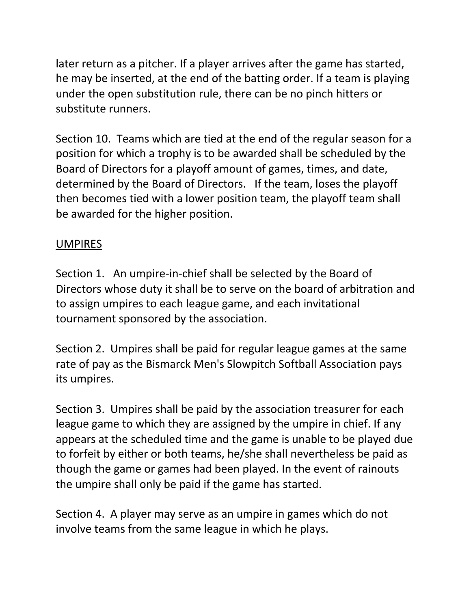later return as a pitcher. If a player arrives after the game has started, he may be inserted, at the end of the batting order. If a team is playing under the open substitution rule, there can be no pinch hitters or substitute runners.

Section 10. Teams which are tied at the end of the regular season for a position for which a trophy is to be awarded shall be scheduled by the Board of Directors for a playoff amount of games, times, and date, determined by the Board of Directors. If the team, loses the playoff then becomes tied with a lower position team, the playoff team shall be awarded for the higher position.

#### UMPIRES

Section 1. An umpire-in-chief shall be selected by the Board of Directors whose duty it shall be to serve on the board of arbitration and to assign umpires to each league game, and each invitational tournament sponsored by the association.

Section 2. Umpires shall be paid for regular league games at the same rate of pay as the Bismarck Men's Slowpitch Softball Association pays its umpires.

Section 3. Umpires shall be paid by the association treasurer for each league game to which they are assigned by the umpire in chief. If any appears at the scheduled time and the game is unable to be played due to forfeit by either or both teams, he/she shall nevertheless be paid as though the game or games had been played. In the event of rainouts the umpire shall only be paid if the game has started.

Section 4. A player may serve as an umpire in games which do not involve teams from the same league in which he plays.